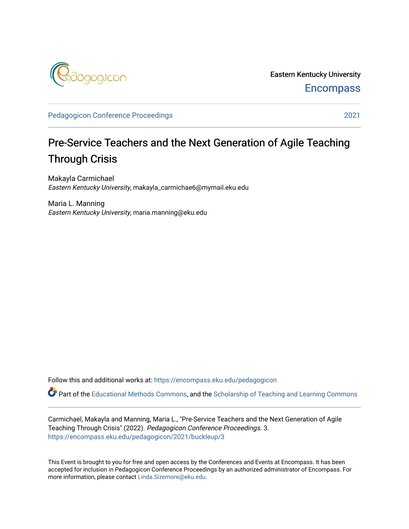

Eastern Kentucky University **Encompass** 

[Pedagogicon Conference Proceedings](https://encompass.eku.edu/pedagogicon) 2021

## Pre-Service Teachers and the Next Generation of Agile Teaching Through Crisis

Makayla Carmichael Eastern Kentucky University, makayla\_carmichae6@mymail.eku.edu

Maria L. Manning Eastern Kentucky University, maria.manning@eku.edu

Follow this and additional works at: [https://encompass.eku.edu/pedagogicon](https://encompass.eku.edu/pedagogicon?utm_source=encompass.eku.edu%2Fpedagogicon%2F2021%2Fbuckleup%2F3&utm_medium=PDF&utm_campaign=PDFCoverPages) 

Part of the [Educational Methods Commons,](http://network.bepress.com/hgg/discipline/1227?utm_source=encompass.eku.edu%2Fpedagogicon%2F2021%2Fbuckleup%2F3&utm_medium=PDF&utm_campaign=PDFCoverPages) and the [Scholarship of Teaching and Learning Commons](http://network.bepress.com/hgg/discipline/1328?utm_source=encompass.eku.edu%2Fpedagogicon%2F2021%2Fbuckleup%2F3&utm_medium=PDF&utm_campaign=PDFCoverPages) 

Carmichael, Makayla and Manning, Maria L., "Pre-Service Teachers and the Next Generation of Agile Teaching Through Crisis" (2022). Pedagogicon Conference Proceedings. 3. [https://encompass.eku.edu/pedagogicon/2021/buckleup/3](https://encompass.eku.edu/pedagogicon/2021/buckleup/3?utm_source=encompass.eku.edu%2Fpedagogicon%2F2021%2Fbuckleup%2F3&utm_medium=PDF&utm_campaign=PDFCoverPages)

This Event is brought to you for free and open access by the Conferences and Events at Encompass. It has been accepted for inclusion in Pedagogicon Conference Proceedings by an authorized administrator of Encompass. For more information, please contact [Linda.Sizemore@eku.edu.](mailto:Linda.Sizemore@eku.edu)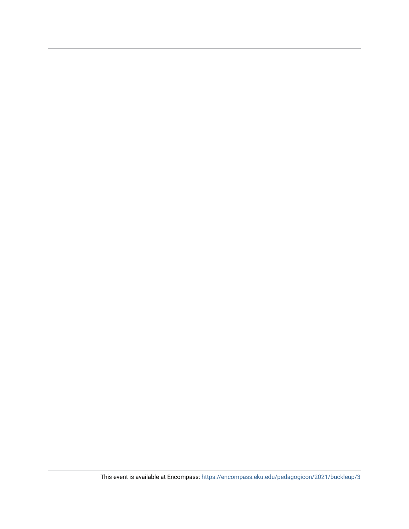This event is available at Encompass: <https://encompass.eku.edu/pedagogicon/2021/buckleup/3>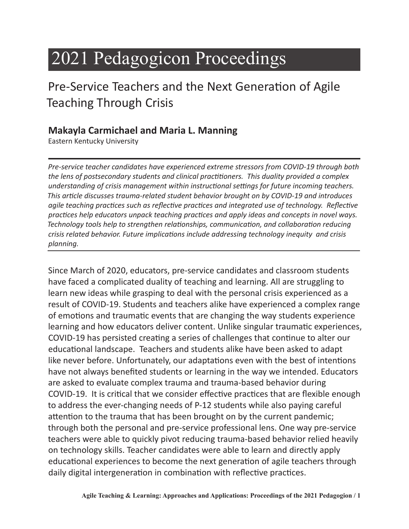# 2021 Pedagogicon Proceedings

# Pre-Service Teachers and the Next Generation of Agile Teaching Through Crisis

## **Makayla Carmichael and Maria L. Manning**

Eastern Kentucky University

*Pre-service teacher candidates have experienced extreme stressors from COVID-19 through both the lens of postsecondary students and clinical practitioners. This duality provided a complex understanding of crisis management within instructional settings for future incoming teachers. This article discusses trauma-related student behavior brought on by COVID-19 and introduces agile teaching practices such as reflective practices and integrated use of technology. Reflective practices help educators unpack teaching practices and apply ideas and concepts in novel ways. Technology tools help to strengthen relationships, communication, and collaboration reducing crisis related behavior. Future implications include addressing technology inequity and crisis planning.* 

Since March of 2020, educators, pre-service candidates and classroom students have faced a complicated duality of teaching and learning. All are struggling to learn new ideas while grasping to deal with the personal crisis experienced as a result of COVID-19. Students and teachers alike have experienced a complex range of emotions and traumatic events that are changing the way students experience learning and how educators deliver content. Unlike singular traumatic experiences, COVID-19 has persisted creating a series of challenges that continue to alter our educational landscape. Teachers and students alike have been asked to adapt like never before. Unfortunately, our adaptations even with the best of intentions have not always benefited students or learning in the way we intended. Educators are asked to evaluate complex trauma and trauma-based behavior during COVID-19. It is critical that we consider effective practices that are flexible enough to address the ever-changing needs of P-12 students while also paying careful attention to the trauma that has been brought on by the current pandemic; through both the personal and pre-service professional lens. One way pre-service teachers were able to quickly pivot reducing trauma-based behavior relied heavily on technology skills. Teacher candidates were able to learn and directly apply educational experiences to become the next generation of agile teachers through daily digital intergeneration in combination with reflective practices.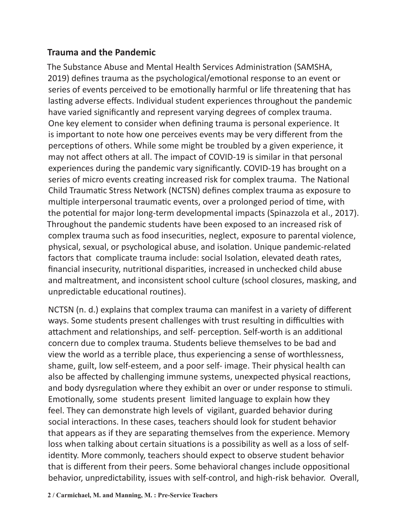#### **Trauma and the Pandemic**

The Substance Abuse and Mental Health Services Administration (SAMSHA, 2019) defines trauma as the psychological/emotional response to an event or series of events perceived to be emotionally harmful or life threatening that has lasting adverse effects. Individual student experiences throughout the pandemic have varied significantly and represent varying degrees of complex trauma. One key element to consider when defining trauma is personal experience. It is important to note how one perceives events may be very different from the perceptions of others. While some might be troubled by a given experience, it may not affect others at all. The impact of COVID-19 is similar in that personal experiences during the pandemic vary significantly. COVID-19 has brought on a series of micro events creating increased risk for complex trauma. The National Child Traumatic Stress Network (NCTSN) defines complex trauma as exposure to multiple interpersonal traumatic events, over a prolonged period of time, with the potential for major long-term developmental impacts (Spinazzola et al., 2017). Throughout the pandemic students have been exposed to an increased risk of complex trauma such as food insecurities, neglect, exposure to parental violence, physical, sexual, or psychological abuse, and isolation. Unique pandemic-related factors that complicate trauma include: social Isolation, elevated death rates, financial insecurity, nutritional disparities, increased in unchecked child abuse and maltreatment, and inconsistent school culture (school closures, masking, and unpredictable educational routines).

NCTSN (n. d.) explains that complex trauma can manifest in a variety of different ways. Some students present challenges with trust resulting in difficulties with attachment and relationships, and self- perception. Self-worth is an additional concern due to complex trauma. Students believe themselves to be bad and view the world as a terrible place, thus experiencing a sense of worthlessness, shame, guilt, low self-esteem, and a poor self- image. Their physical health can also be affected by challenging immune systems, unexpected physical reactions, and body dysregulation where they exhibit an over or under response to stimuli. Emotionally, some students present limited language to explain how they feel. They can demonstrate high levels of vigilant, guarded behavior during social interactions. In these cases, teachers should look for student behavior that appears as if they are separating themselves from the experience. Memory loss when talking about certain situations is a possibility as well as a loss of selfidentity. More commonly, teachers should expect to observe student behavior that is different from their peers. Some behavioral changes include oppositional behavior, unpredictability, issues with self-control, and high-risk behavior. Overall,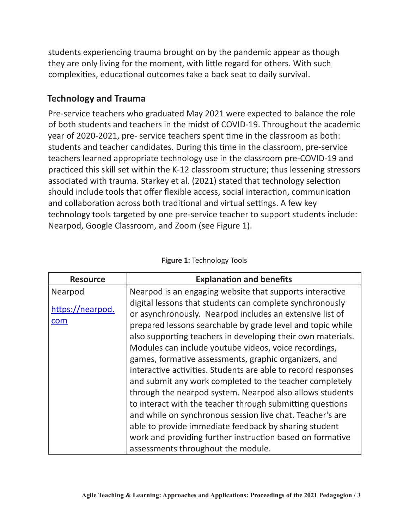students experiencing trauma brought on by the pandemic appear as though they are only living for the moment, with little regard for others. With such complexities, educational outcomes take a back seat to daily survival.

#### **Technology and Trauma**

Pre-service teachers who graduated May 2021 were expected to balance the role of both students and teachers in the midst of COVID-19. Throughout the academic year of 2020-2021, pre- service teachers spent time in the classroom as both: students and teacher candidates. During this time in the classroom, pre-service teachers learned appropriate technology use in the classroom pre-COVID-19 and practiced this skill set within the K-12 classroom structure; thus lessening stressors associated with trauma. Starkey et al. (2021) stated that technology selection should include tools that offer flexible access, social interaction, communication and collaboration across both traditional and virtual settings. A few key technology tools targeted by one pre-service teacher to support students include: Nearpod, Google Classroom, and Zoom (see Figure 1).

| <b>Resource</b>         | <b>Explanation and benefits</b>                                                                                                                                                                                                                                                                                                                                                                                                                                                                                                                                                                                          |
|-------------------------|--------------------------------------------------------------------------------------------------------------------------------------------------------------------------------------------------------------------------------------------------------------------------------------------------------------------------------------------------------------------------------------------------------------------------------------------------------------------------------------------------------------------------------------------------------------------------------------------------------------------------|
| Nearpod                 | Nearpod is an engaging website that supports interactive                                                                                                                                                                                                                                                                                                                                                                                                                                                                                                                                                                 |
| https://nearpod.<br>com | digital lessons that students can complete synchronously<br>or asynchronously. Nearpod includes an extensive list of<br>prepared lessons searchable by grade level and topic while<br>also supporting teachers in developing their own materials.<br>Modules can include youtube videos, voice recordings,<br>games, formative assessments, graphic organizers, and<br>interactive activities. Students are able to record responses<br>and submit any work completed to the teacher completely<br>through the nearpod system. Nearpod also allows students<br>to interact with the teacher through submitting questions |
|                         | and while on synchronous session live chat. Teacher's are                                                                                                                                                                                                                                                                                                                                                                                                                                                                                                                                                                |
|                         | able to provide immediate feedback by sharing student                                                                                                                                                                                                                                                                                                                                                                                                                                                                                                                                                                    |
|                         | work and providing further instruction based on formative                                                                                                                                                                                                                                                                                                                                                                                                                                                                                                                                                                |
|                         | assessments throughout the module.                                                                                                                                                                                                                                                                                                                                                                                                                                                                                                                                                                                       |

#### **Figure 1:** Technology Tools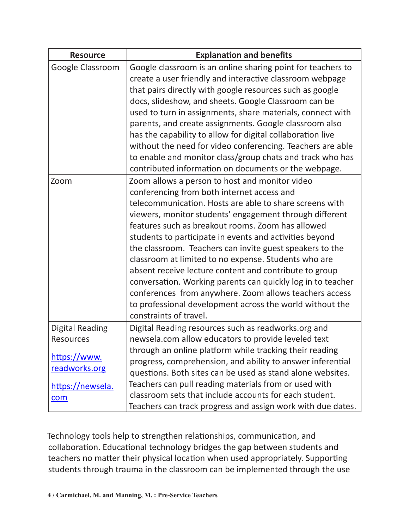| <b>Resource</b>                                                             | <b>Explanation and benefits</b>                                                                                                                                                                                                                                                                                                                                                                                                                                                                                                                                                                                                                                                                                                 |
|-----------------------------------------------------------------------------|---------------------------------------------------------------------------------------------------------------------------------------------------------------------------------------------------------------------------------------------------------------------------------------------------------------------------------------------------------------------------------------------------------------------------------------------------------------------------------------------------------------------------------------------------------------------------------------------------------------------------------------------------------------------------------------------------------------------------------|
| Google Classroom                                                            | Google classroom is an online sharing point for teachers to<br>create a user friendly and interactive classroom webpage<br>that pairs directly with google resources such as google                                                                                                                                                                                                                                                                                                                                                                                                                                                                                                                                             |
|                                                                             | docs, slideshow, and sheets. Google Classroom can be<br>used to turn in assignments, share materials, connect with<br>parents, and create assignments. Google classroom also<br>has the capability to allow for digital collaboration live                                                                                                                                                                                                                                                                                                                                                                                                                                                                                      |
|                                                                             | without the need for video conferencing. Teachers are able<br>to enable and monitor class/group chats and track who has<br>contributed information on documents or the webpage.                                                                                                                                                                                                                                                                                                                                                                                                                                                                                                                                                 |
| Zoom                                                                        | Zoom allows a person to host and monitor video<br>conferencing from both internet access and<br>telecommunication. Hosts are able to share screens with<br>viewers, monitor students' engagement through different<br>features such as breakout rooms. Zoom has allowed<br>students to participate in events and activities beyond<br>the classroom. Teachers can invite guest speakers to the<br>classroom at limited to no expense. Students who are<br>absent receive lecture content and contribute to group<br>conversation. Working parents can quickly log in to teacher<br>conferences from anywhere. Zoom allows teachers access<br>to professional development across the world without the<br>constraints of travel. |
| <b>Digital Reading</b><br><b>Resources</b><br>https://www.<br>readworks.org | Digital Reading resources such as readworks.org and<br>newsela.com allow educators to provide leveled text<br>through an online platform while tracking their reading<br>progress, comprehension, and ability to answer inferential<br>questions. Both sites can be used as stand alone websites.                                                                                                                                                                                                                                                                                                                                                                                                                               |
| https://newsela.<br>com                                                     | Teachers can pull reading materials from or used with<br>classroom sets that include accounts for each student.<br>Teachers can track progress and assign work with due dates.                                                                                                                                                                                                                                                                                                                                                                                                                                                                                                                                                  |

Technology tools help to strengthen relationships, communication, and collaboration. Educational technology bridges the gap between students and teachers no matter their physical location when used appropriately. Supporting students through trauma in the classroom can be implemented through the use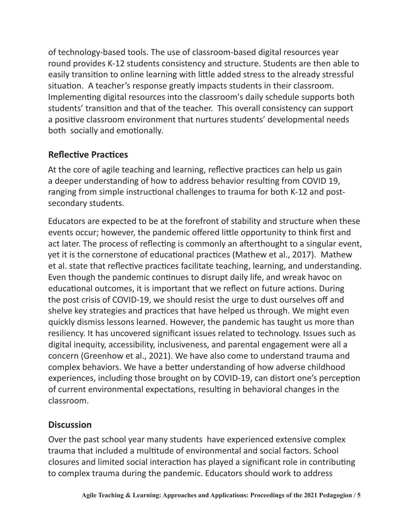of technology-based tools. The use of classroom-based digital resources year round provides K-12 students consistency and structure. Students are then able to easily transition to online learning with little added stress to the already stressful situation. A teacher's response greatly impacts students in their classroom. Implementing digital resources into the classroom's daily schedule supports both students' transition and that of the teacher. This overall consistency can support a positive classroom environment that nurtures students' developmental needs both socially and emotionally.

### **Reflective Practices**

At the core of agile teaching and learning, reflective practices can help us gain a deeper understanding of how to address behavior resulting from COVID 19, ranging from simple instructional challenges to trauma for both K-12 and postsecondary students.

Educators are expected to be at the forefront of stability and structure when these events occur; however, the pandemic offered little opportunity to think first and act later. The process of reflecting is commonly an afterthought to a singular event, yet it is the cornerstone of educational practices (Mathew et al., 2017). Mathew et al. state that reflective practices facilitate teaching, learning, and understanding. Even though the pandemic continues to disrupt daily life, and wreak havoc on educational outcomes, it is important that we reflect on future actions. During the post crisis of COVID-19, we should resist the urge to dust ourselves off and shelve key strategies and practices that have helped us through. We might even quickly dismiss lessons learned. However, the pandemic has taught us more than resiliency. It has uncovered significant issues related to technology. Issues such as digital inequity, accessibility, inclusiveness, and parental engagement were all a concern (Greenhow et al., 2021). We have also come to understand trauma and complex behaviors. We have a better understanding of how adverse childhood experiences, including those brought on by COVID-19, can distort one's perception of current environmental expectations, resulting in behavioral changes in the classroom.

#### **Discussion**

Over the past school year many students have experienced extensive complex trauma that included a multitude of environmental and social factors. School closures and limited social interaction has played a significant role in contributing to complex trauma during the pandemic. Educators should work to address